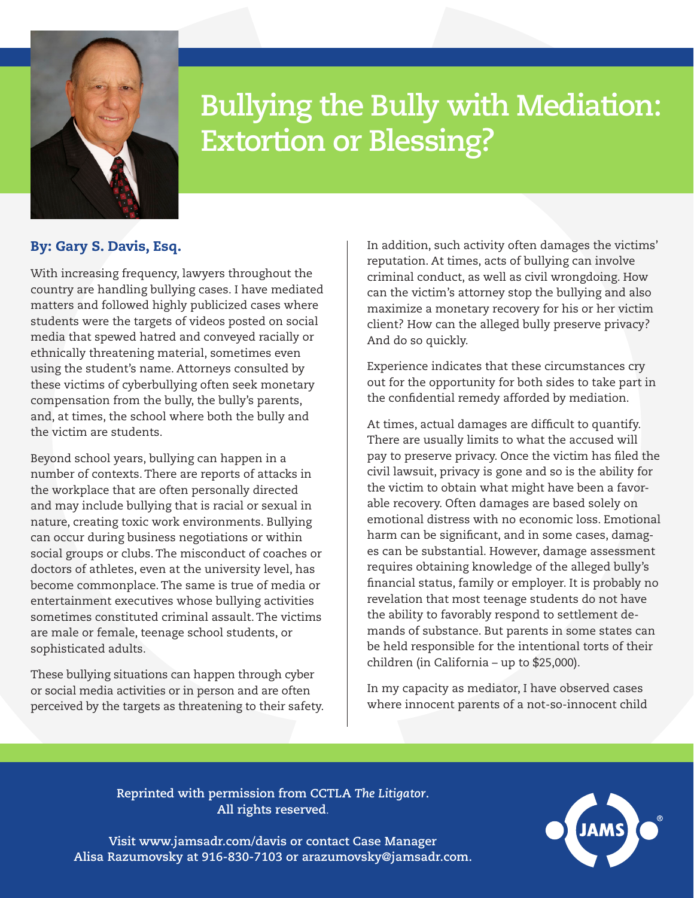

## **Bullying the Bully with Mediation: Extortion or Blessing?**

## By: Gary S. Davis, Esq.

With increasing frequency, lawyers throughout the country are handling bullying cases. I have mediated matters and followed highly publicized cases where students were the targets of videos posted on social media that spewed hatred and conveyed racially or ethnically threatening material, sometimes even using the student's name. Attorneys consulted by these victims of cyberbullying often seek monetary compensation from the bully, the bully's parents, and, at times, the school where both the bully and the victim are students.

Beyond school years, bullying can happen in a number of contexts. There are reports of attacks in the workplace that are often personally directed and may include bullying that is racial or sexual in nature, creating toxic work environments. Bullying can occur during business negotiations or within social groups or clubs. The misconduct of coaches or doctors of athletes, even at the university level, has become commonplace. The same is true of media or entertainment executives whose bullying activities sometimes constituted criminal assault. The victims are male or female, teenage school students, or sophisticated adults.

These bullying situations can happen through cyber or social media activities or in person and are often perceived by the targets as threatening to their safety. In addition, such activity often damages the victims' reputation. At times, acts of bullying can involve criminal conduct, as well as civil wrongdoing. How can the victim's attorney stop the bullying and also maximize a monetary recovery for his or her victim client? How can the alleged bully preserve privacy? And do so quickly.

Experience indicates that these circumstances cry out for the opportunity for both sides to take part in the confidential remedy afforded by mediation.

At times, actual damages are difficult to quantify. There are usually limits to what the accused will pay to preserve privacy. Once the victim has filed the civil lawsuit, privacy is gone and so is the ability for the victim to obtain what might have been a favorable recovery. Often damages are based solely on emotional distress with no economic loss. Emotional harm can be significant, and in some cases, damages can be substantial. However, damage assessment requires obtaining knowledge of the alleged bully's financial status, family or employer. It is probably no revelation that most teenage students do not have the ability to favorably respond to settlement demands of substance. But parents in some states can be held responsible for the intentional torts of their children (in California – up to \$25,000).

In my capacity as mediator, I have observed cases where innocent parents of a not-so-innocent child

**Reprinted with permission from CCTLA** *The Litigator***. All rights reserved**.

**Visit www.jamsadr.com/davis or contact Case Manager Alisa Razumovsky at 916-830-7103 or arazumovsky@jamsadr.com.**